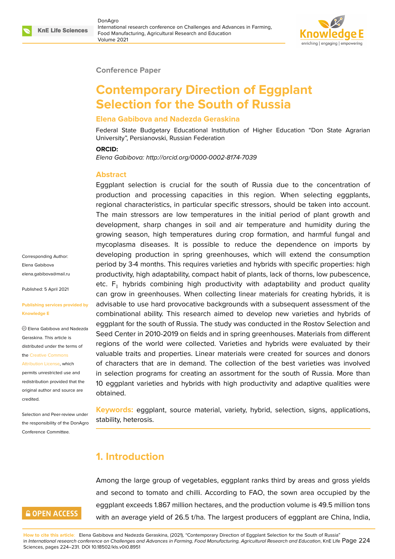

#### **Conference Paper**

# **Contemporary Direction of Eggplant Selection for the South of Russia**

### **Elena Gabibova and Nadezda Geraskina**

Federal State Budgetary Educational Institution of Higher Education "Don State Agrarian University", Persianovski, Russian Federation

#### **ORCID:**

*Elena Gabibova: http://orcid.org/0000-0002-8174-7039*

#### **Abstract**

Eggplant selection is crucial for the south of Russia due to the concentration of production and processing capacities in this region. When selecting eggplants, regional characteristics, in particular specific stressors, should be taken into account. The main stressors are low temperatures in the initial period of plant growth and development, sharp changes in soil and air temperature and humidity during the growing season, high temperatures during crop formation, and harmful fungal and mycoplasma diseases. It is possible to reduce the dependence on imports by developing production in spring greenhouses, which will extend the consumption period by 3-4 months. This requires varieties and hybrids with specific properties: high productivity, high adaptability, compact habit of plants, lack of thorns, low pubescence, etc.  $F_1$  hybrids combining high productivity with adaptability and product quality can grow in greenhouses. When collecting linear materials for creating hybrids, it is advisable to use hard provocative backgrounds with a subsequent assessment of the combinational ability. This research aimed to develop new varieties and hybrids of eggplant for the south of Russia. The study was conducted in the Rostov Selection and Seed Center in 2010-2019 on fields and in spring greenhouses. Materials from different regions of the world were collected. Varieties and hybrids were evaluated by their valuable traits and properties. Linear materials were created for sources and donors of characters that are in demand. The collection of the best varieties was involved in selection programs for creating an assortment for the south of Russia. More than 10 eggplant varieties and hybrids with high productivity and adaptive qualities were obtained.

**Keywords:** eggplant, source material, variety, hybrid, selection, signs, applications, stability, heterosis.

## **1. Introduction**

Among the large group of vegetables, eggplant ranks third by areas and gross yields and second to tomato and chilli. According to FAO, the sown area occupied by the eggplant exceeds 1.867 million hectares, and the production volume is 49.5 million tons with an average yield of 26.5 t/ha. The largest producers of eggplant are China, India,

Corresponding Author: Elena Gabibova elena.gabibova@mail.ru

Published: 5 April 2021

**[Publishing services pro](mailto:elena.gabibova@mail.ru)vided by Knowledge E**

Elena Gabibova and Nadezda Geraskina. This article is distributed under the terms of the Creative Commons

Attribution License, which permits unrestricted use and redistribution provided that the orig[inal author and sou](https://creativecommons.org/licenses/by/4.0/)rce are [credited.](https://creativecommons.org/licenses/by/4.0/)

Selection and Peer-review under the responsibility of the DonAgro Conference Committee.

# **GOPEN ACCESS**

**How to cite this article**: Elena Gabibova and Nadezda Geraskina, (2021), "Contemporary Direction of Eggplant Selection for the South of Russia" in *International research conference on Challenges and Advances in Farming, Food Manufacturing, Agricultural Research and Education*, KnE Life Page 224 Sciences, pages 224–231. DOI 10.18502/kls.v0i0.8951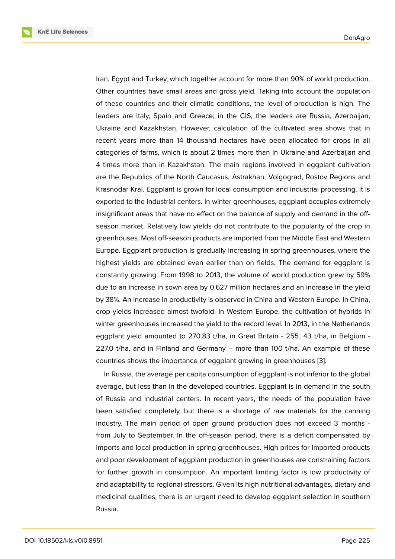Iran, Egypt and Turkey, which together account for more than 90% of world production. Other countries have small areas and gross yield. Taking into account the population of these countries and their climatic conditions, the level of production is high. The leaders are Italy, Spain and Greece; in the CIS, the leaders are Russia, Azerbaijan, Ukraine and Kazakhstan. However, calculation of the cultivated area shows that in recent years more than 14 thousand hectares have been allocated for crops in all categories of farms, which is about 2 times more than in Ukraine and Azerbaijan and 4 times more than in Kazakhstan. The main regions involved in eggplant cultivation are the Republics of the North Caucasus, Astrakhan, Volgograd, Rostov Regions and Krasnodar Krai. Eggplant is grown for local consumption and industrial processing. It is exported to the industrial centers. In winter greenhouses, eggplant occupies extremely insignificant areas that have no effect on the balance of supply and demand in the offseason market. Relatively low yields do not contribute to the popularity of the crop in greenhouses. Most off-season products are imported from the Middle East and Western Europe. Eggplant production is gradually increasing in spring greenhouses, where the highest yields are obtained even earlier than on fields. The demand for eggplant is constantly growing. From 1998 to 2013, the volume of world production grew by 59% due to an increase in sown area by 0.627 million hectares and an increase in the yield by 38%. An increase in productivity is observed in China and Western Europe. In China, crop yields increased almost twofold. In Western Europe, the cultivation of hybrids in winter greenhouses increased the yield to the record level. In 2013, in the Netherlands eggplant yield amounted to 270.83 t/ha, in Great Britain - 255, 43 t/ha, in Belgium - 227.0 t/ha, and in Finland and Germany – more than 100 t/ha. An example of these countries shows the importance of eggplant growing in greenhouses [3].

In Russia, the average per capita consumption of eggplant is not inferior to the global average, but less than in the developed countries. Eggplant is in demand in the south of Russia and industrial centers. In recent years, the needs of the [po](#page-6-0)pulation have been satisfied completely, but there is a shortage of raw materials for the canning industry. The main period of open ground production does not exceed 3 months from July to September. In the off-season period, there is a deficit compensated by imports and local production in spring greenhouses. High prices for imported products and poor development of eggplant production in greenhouses are constraining factors for further growth in consumption. An important limiting factor is low productivity of and adaptability to regional stressors. Given its high nutritional advantages, dietary and medicinal qualities, there is an urgent need to develop eggplant selection in southern Russia.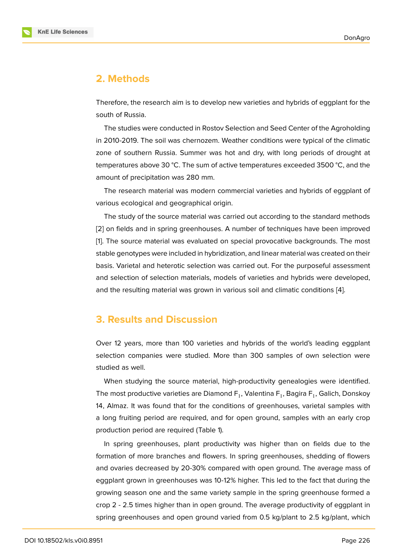### **2. Methods**

Therefore, the research aim is to develop new varieties and hybrids of eggplant for the south of Russia.

The studies were conducted in Rostov Selection and Seed Center of the Agroholding in 2010-2019. The soil was chernozem. Weather conditions were typical of the climatic zone of southern Russia. Summer was hot and dry, with long periods of drought at temperatures above 30 °C. The sum of active temperatures exceeded 3500 °C, and the amount of precipitation was 280 mm.

The research material was modern commercial varieties and hybrids of eggplant of various ecological and geographical origin.

The study of the source material was carried out according to the standard methods [2] on fields and in spring greenhouses. A number of techniques have been improved [1]. The source material was evaluated on special provocative backgrounds. The most stable genotypes were included in hybridization, and linear material was created on their [ba](#page-6-1)sis. Varietal and heterotic selection was carried out. For the purposeful assessment [an](#page-6-2)d selection of selection materials, models of varieties and hybrids were developed, and the resulting material was grown in various soil and climatic conditions [4].

### **3. Results and Discussion**

Over 12 years, more than 100 varieties and hybrids of the world's leading eggplant selection companies were studied. More than 300 samples of own selection were studied as well.

When studying the source material, high-productivity genealogies were identified. The most productive varieties are Diamond F<sub>1</sub>, Valentina F<sub>1</sub>, Bagira F<sub>1</sub>, Galich, Donskoy 14, Almaz. It was found that for the conditions of greenhouses, varietal samples with a long fruiting period are required, and for open ground, samples with an early crop production period are required (Table 1).

In spring greenhouses, plant productivity was higher than on fields due to the formation of more branches and flowers. In spring greenhouses, shedding of flowers and ovaries decreased by 20-30% compared with open ground. The average mass of eggplant grown in greenhouses was 10-12% higher. This led to the fact that during the growing season one and the same variety sample in the spring greenhouse formed a crop 2 - 2.5 times higher than in open ground. The average productivity of eggplant in spring greenhouses and open ground varied from 0.5 kg/plant to 2.5 kg/plant, which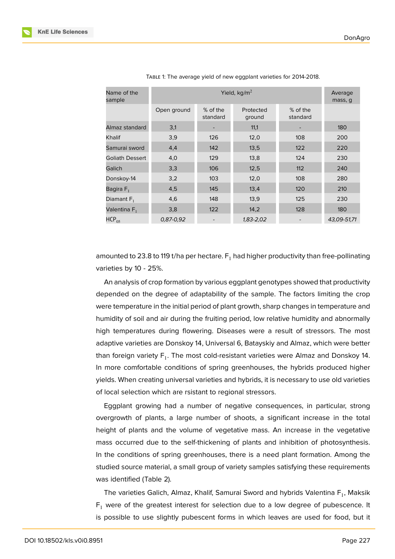| Name of the<br>sample    |               | Average<br>mass, q   |                     |                      |             |
|--------------------------|---------------|----------------------|---------------------|----------------------|-------------|
|                          | Open ground   | % of the<br>standard | Protected<br>ground | % of the<br>standard |             |
| Almaz standard           | 3,1           |                      | 11,1                |                      | 180         |
| Khalif                   | 3,9           | 126                  | 12,0                | 108                  | 200         |
| Samurai sword            | 4,4           | 142                  | 13,5                | 122                  | 220         |
| <b>Goliath Dessert</b>   | 4,0           | 129                  | 13,8                | 124                  | 230         |
| Galich                   | 3,3           | 106                  | 12,5                | 112                  | 240         |
| Donskoy-14               | 3,2           | 103                  | 12,0                | 108                  | 280         |
| Bagira F <sub>1</sub>    | 4,5           | 145                  | 13,4                | 120                  | 210         |
| Diamant $F_1$            | 4,6           | 148                  | 13,9                | 125                  | 230         |
| Valentina F <sub>1</sub> | 3,8           | 122                  | 14,2                | 128                  | 180         |
| $HCP_{05}$               | $0.87 - 0.92$ |                      | 1,83-2,02           |                      | 43,09-51,71 |

TABLE 1: The average yield of new eggplant varieties for 2014-2018.

amounted to 23.8 to 119 t/ha per hectare.  $F_1$  had higher productivity than free-pollinating varieties by 10 - 25%.

An analysis of crop formation by various eggplant genotypes showed that productivity depended on the degree of adaptability of the sample. The factors limiting the crop were temperature in the initial period of plant growth, sharp changes in temperature and humidity of soil and air during the fruiting period, low relative humidity and abnormally high temperatures during flowering. Diseases were a result of stressors. The most adaptive varieties are Donskoy 14, Universal 6, Batayskiy and Almaz, which were better than foreign variety  $\mathsf{F}_1.$  The most cold-resistant varieties were Almaz and Donskoy 14. In more comfortable conditions of spring greenhouses, the hybrids produced higher yields. When creating universal varieties and hybrids, it is necessary to use old varieties of local selection which are rsistant to regional stressors.

Eggplant growing had a number of negative consequences, in particular, strong overgrowth of plants, a large number of shoots, a significant increase in the total height of plants and the volume of vegetative mass. An increase in the vegetative mass occurred due to the self-thickening of plants and inhibition of photosynthesis. In the conditions of spring greenhouses, there is a need plant formation. Among the studied source material, a small group of variety samples satisfying these requirements was identified (Table 2).

The varieties Galich, Almaz, Khalif, Samurai Sword and hybrids Valentina  $\mathsf{F}_1$ , Maksik  $F_1$  were of the greatest interest for selection due to a low degree of pubescence. It is possible to use slightly pubescent forms in which leaves are used for food, but it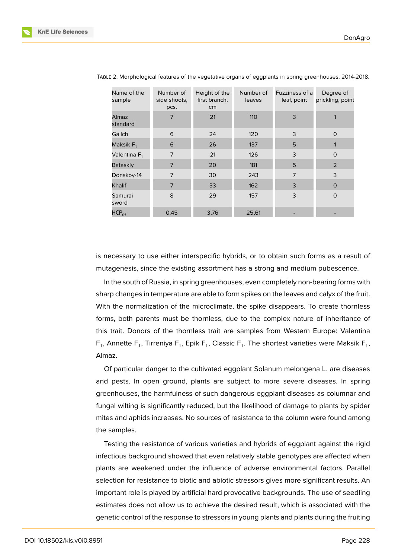| Name of the<br>sample    | Number of<br>side shoots,<br>pcs. | Height of the<br>first branch,<br>cm | Number of<br>leaves | Fuzziness of a<br>leaf, point | Degree of<br>prickling, point |
|--------------------------|-----------------------------------|--------------------------------------|---------------------|-------------------------------|-------------------------------|
| <b>Almaz</b><br>standard | 7                                 | 21                                   | 110                 | 3                             | 1                             |
| Galich                   | 6                                 | 24                                   | 120                 | 3                             | $\circ$                       |
| Maksik $F_1$             | 6                                 | 26                                   | 137                 | 5                             | 1                             |
| Valentina F <sub>1</sub> | $\overline{7}$                    | 21                                   | 126                 | 3                             | $\circ$                       |
| <b>Bataskiy</b>          | $\overline{7}$                    | 20                                   | 181                 | 5                             | 2                             |
| Donskoy-14               | $\overline{7}$                    | 30                                   | 243                 | $\overline{7}$                | 3                             |
| Khalif                   | $\overline{7}$                    | 33                                   | 162                 | 3                             | $\Omega$                      |
| Samurai<br>sword         | 8                                 | 29                                   | 157                 | 3                             | $\circ$                       |
| $HCP_{05}$               | 0,45                              | 3,76                                 | 25,61               |                               |                               |

TABLE 2: Morphological features of the vegetative organs of eggplants in spring greenhouses, 2014-2018.

is necessary to use either interspecific hybrids, or to obtain such forms as a result of mutagenesis, since the existing assortment has a strong and medium pubescence.

In the south of Russia, in spring greenhouses, even completely non-bearing forms with sharp changes in temperature are able to form spikes on the leaves and calyx of the fruit. With the normalization of the microclimate, the spike disappears. To create thornless forms, both parents must be thornless, due to the complex nature of inheritance of this trait. Donors of the thornless trait are samples from Western Europe: Valentina  $\mathsf{F}_1$ , Annette  $\mathsf{F}_1$ , Tirreniya  $\mathsf{F}_1$ , Epik  $\mathsf{F}_1$ , Classic  $\mathsf{F}_1$ . The shortest varieties were Maksik  $\mathsf{F}_1$ , Almaz.

Of particular danger to the cultivated eggplant Solanum melongena L. are diseases and pests. In open ground, plants are subject to more severe diseases. In spring greenhouses, the harmfulness of such dangerous eggplant diseases as columnar and fungal wilting is significantly reduced, but the likelihood of damage to plants by spider mites and aphids increases. No sources of resistance to the column were found among the samples.

Testing the resistance of various varieties and hybrids of eggplant against the rigid infectious background showed that even relatively stable genotypes are affected when plants are weakened under the influence of adverse environmental factors. Parallel selection for resistance to biotic and abiotic stressors gives more significant results. An important role is played by artificial hard provocative backgrounds. The use of seedling estimates does not allow us to achieve the desired result, which is associated with the genetic control of the response to stressors in young plants and plants during the fruiting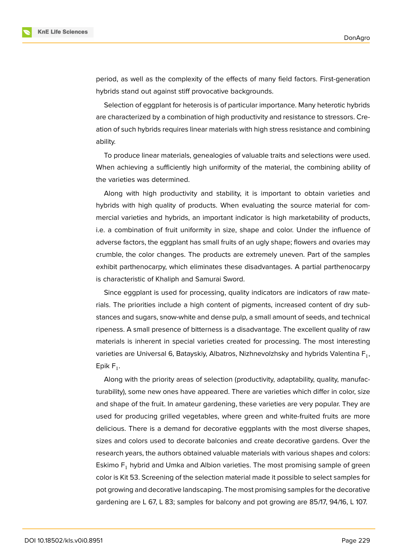

period, as well as the complexity of the effects of many field factors. First-generation hybrids stand out against stiff provocative backgrounds.

Selection of eggplant for heterosis is of particular importance. Many heterotic hybrids are characterized by a combination of high productivity and resistance to stressors. Creation of such hybrids requires linear materials with high stress resistance and combining ability.

To produce linear materials, genealogies of valuable traits and selections were used. When achieving a sufficiently high uniformity of the material, the combining ability of the varieties was determined.

Along with high productivity and stability, it is important to obtain varieties and hybrids with high quality of products. When evaluating the source material for commercial varieties and hybrids, an important indicator is high marketability of products, i.e. a combination of fruit uniformity in size, shape and color. Under the influence of adverse factors, the eggplant has small fruits of an ugly shape; flowers and ovaries may crumble, the color changes. The products are extremely uneven. Part of the samples exhibit parthenocarpy, which eliminates these disadvantages. A partial parthenocarpy is characteristic of Khaliph and Samurai Sword.

Since eggplant is used for processing, quality indicators are indicators of raw materials. The priorities include a high content of pigments, increased content of dry substances and sugars, snow-white and dense pulp, a small amount of seeds, and technical ripeness. A small presence of bitterness is a disadvantage. The excellent quality of raw materials is inherent in special varieties created for processing. The most interesting varieties are Universal 6, Batayskiy, Albatros, Nizhnevolzhsky and hybrids Valentina  $\mathsf{F}_1,$ Epik F<sub>1</sub>.

Along with the priority areas of selection (productivity, adaptability, quality, manufacturability), some new ones have appeared. There are varieties which differ in color, size and shape of the fruit. In amateur gardening, these varieties are very popular. They are used for producing grilled vegetables, where green and white-fruited fruits are more delicious. There is a demand for decorative eggplants with the most diverse shapes, sizes and colors used to decorate balconies and create decorative gardens. Over the research years, the authors obtained valuable materials with various shapes and colors: Eskimo  $F_1$  hybrid and Umka and Albion varieties. The most promising sample of green color is Kit 53. Screening of the selection material made it possible to select samples for pot growing and decorative landscaping. The most promising samples for the decorative gardening are L 67, L 83; samples for balcony and pot growing are 85/17, 94/16, L 107.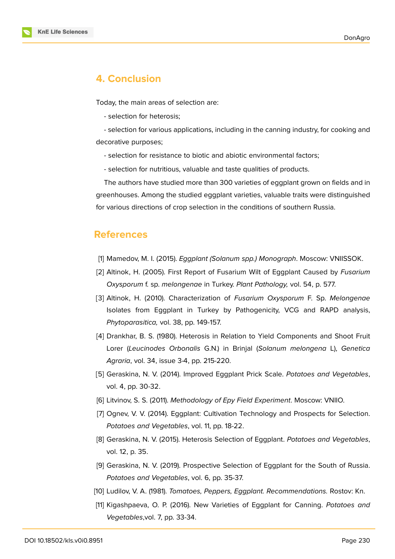

# **4. Conclusion**

Today, the main areas of selection are:

- selection for heterosis;

- selection for various applications, including in the canning industry, for cooking and decorative purposes;

- selection for resistance to biotic and abiotic environmental factors;
- selection for nutritious, valuable and taste qualities of products.

The authors have studied more than 300 varieties of eggplant grown on fields and in greenhouses. Among the studied eggplant varieties, valuable traits were distinguished for various directions of crop selection in the conditions of southern Russia.

### **References**

- <span id="page-6-2"></span>[1] Mamedov, M. I. (2015). *Eggplant (Solanum spp.) Monograph*. Moscow: VNIISSOK.
- <span id="page-6-1"></span>[2] Altinok, H. (2005). First Report of Fusarium Wilt of Eggplant Caused by *Fusarium Oxysporum* f. sp. *melongenae* in Turkey. *Plant Pathology,* vol. 54, p. 577.
- <span id="page-6-0"></span>[3] Altinok, H. (2010). Characterization of *Fusarium Oxysporum* F. Sp. *Melongenae* Isolates from Eggplant in Turkey by Pathogenicity, VCG and RAPD analysis, *Phytoparasitica,* vol. 38, pp. 149-157.
- [4] Drankhar, B. S. (1980). Heterosis in Relation to Yield Components and Shoot Fruit Lorer (*Leucinodes Orbonalis* G.N.) in Brinjal (*Solanum melongena* L), *Genetica Agraria*, vol. 34, issue 3-4, pp. 215-220.
- [5] Geraskina, N. V. (2014). Improved Eggplant Prick Scale. *Potatoes and Vegetables*, vol. 4, pp. 30-32.
- [6] Litvinov, S. S. (2011). *Methodology of Epy Field Experiment*. Moscow: VNIIO.
- [7] Ognev, V. V. (2014). Eggplant: Cultivation Technology and Prospects for Selection. *Potatoes and Vegetables*, vol. 11, pp. 18-22.
- [8] Geraskina, N. V. (2015). Heterosis Selection of Eggplant. *Potatoes and Vegetables*, vol. 12, p. 35.
- [9] Geraskina, N. V. (2019). Prospective Selection of Eggplant for the South of Russia. *Potatoes and Vegetables*, vol. 6, pp. 35-37.
- [10] Ludilov, V. A. (1981). *Tomatoes, Peppers, Eggplant. Recommendations.* Rostov: Kn.
- [11] Kigashpaeva, O. P. (2016). New Varieties of Eggplant for Canning. *Potatoes and Vegetables*,vol. 7, pp. 33-34.